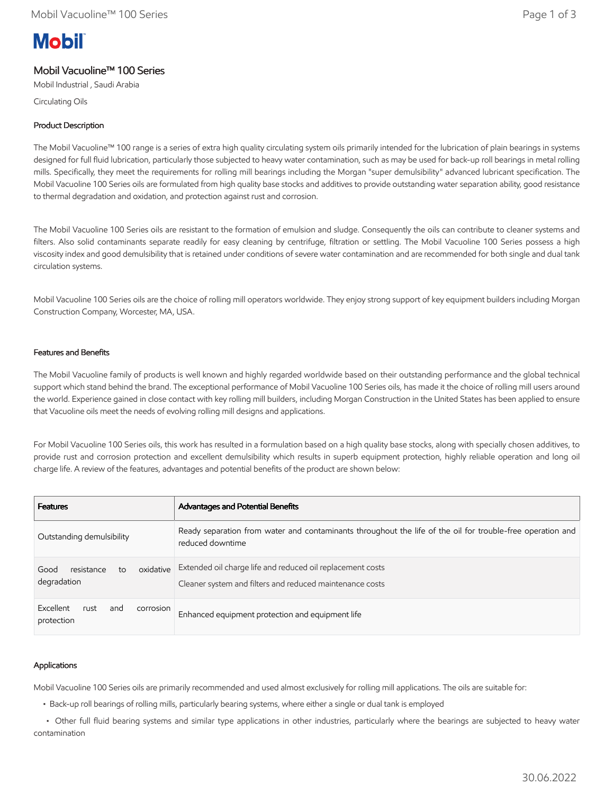# **Mobil**

# Mobil Vacuoline™ 100 Series

Mobil Industrial , Saudi Arabia

Circulating Oils

# Product Description

The Mobil Vacuoline™ 100 range is a series of extra high quality circulating system oils primarily intended for the lubrication of plain bearings in systems designed for full fluid lubrication, particularly those subjected to heavy water contamination, such as may be used for back-up roll bearings in metal rolling mills. Specifically, they meet the requirements for rolling mill bearings including the Morgan "super demulsibility" advanced lubricant specification. The Mobil Vacuoline 100 Series oils are formulated from high quality base stocks and additives to provide outstanding water separation ability, good resistance to thermal degradation and oxidation, and protection against rust and corrosion.

The Mobil Vacuoline 100 Series oils are resistant to the formation of emulsion and sludge. Consequently the oils can contribute to cleaner systems and filters. Also solid contaminants separate readily for easy cleaning by centrifuge, filtration or settling. The Mobil Vacuoline 100 Series possess a high viscosity index and good demulsibility that is retained under conditions of severe water contamination and are recommended for both single and dual tank circulation systems.

Mobil Vacuoline 100 Series oils are the choice of rolling mill operators worldwide. They enjoy strong support of key equipment builders including Morgan Construction Company, Worcester, MA, USA.

# Features and Benefits

The Mobil Vacuoline family of products is well known and highly regarded worldwide based on their outstanding performance and the global technical support which stand behind the brand. The exceptional performance of Mobil Vacuoline 100 Series oils, has made it the choice of rolling mill users around the world. Experience gained in close contact with key rolling mill builders, including Morgan Construction in the United States has been applied to ensure that Vacuoline oils meet the needs of evolving rolling mill designs and applications.

For Mobil Vacuoline 100 Series oils, this work has resulted in a formulation based on a high quality base stocks, along with specially chosen additives, to provide rust and corrosion protection and excellent demulsibility which results in superb equipment protection, highly reliable operation and long oil charge life. A review of the features, advantages and potential benefits of the product are shown below:

| <b>Features</b>                                      | Advantages and Potential Benefits                                                                                              |
|------------------------------------------------------|--------------------------------------------------------------------------------------------------------------------------------|
| Outstanding demulsibility                            | Ready separation from water and contaminants throughout the life of the oil for trouble-free operation and<br>reduced downtime |
| oxidative<br>resistance<br>Good<br>to<br>degradation | Extended oil charge life and reduced oil replacement costs<br>Cleaner system and filters and reduced maintenance costs         |
| Excellent<br>rust<br>corrosion<br>and<br>protection  | Enhanced equipment protection and equipment life                                                                               |

# Applications

Mobil Vacuoline 100 Series oils are primarily recommended and used almost exclusively for rolling mill applications. The oils are suitable for:

• Back-up roll bearings of rolling mills, particularly bearing systems, where either a single or dual tank is employed

 • Other full fluid bearing systems and similar type applications in other industries, particularly where the bearings are subjected to heavy water contamination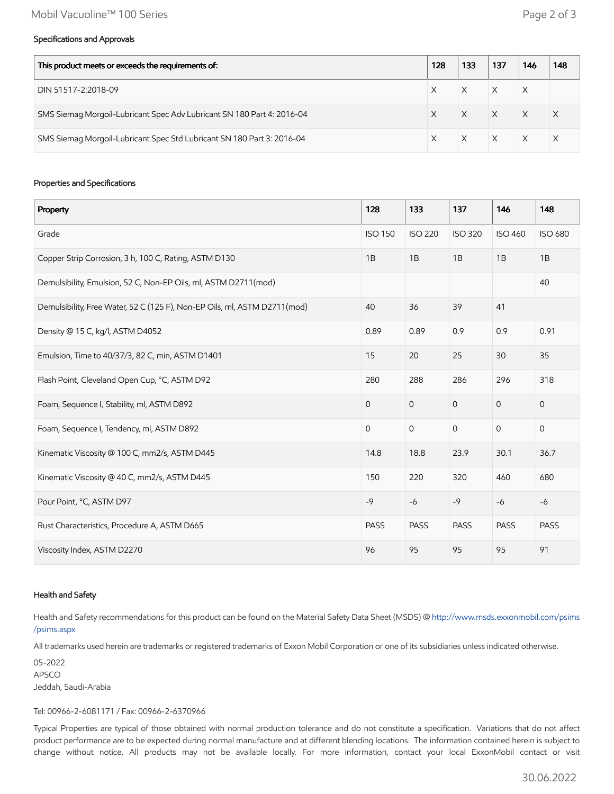#### Specifications and Approvals

| This product meets or exceeds the requirements of:                     |  | 133 | 137      | 146      | 148 |
|------------------------------------------------------------------------|--|-----|----------|----------|-----|
| DIN 51517-2:2018-09                                                    |  |     |          | X        |     |
| SMS Siemag Morgoil-Lubricant Spec Adv Lubricant SN 180 Part 4: 2016-04 |  |     | $\times$ | $\times$ |     |
| SMS Siemag Morgoil-Lubricant Spec Std Lubricant SN 180 Part 3: 2016-04 |  |     | $\times$ |          |     |

#### Properties and Specifications

| Property                                                                  | 128            | 133            | 137            | 146            | 148                 |
|---------------------------------------------------------------------------|----------------|----------------|----------------|----------------|---------------------|
| Grade                                                                     | <b>ISO 150</b> | <b>ISO 220</b> | <b>ISO 320</b> | <b>ISO 460</b> | <b>ISO 680</b>      |
| Copper Strip Corrosion, 3 h, 100 C, Rating, ASTM D130                     | 1B             | 1B             | 1B             | 1B             | 1B                  |
| Demulsibility, Emulsion, 52 C, Non-EP Oils, ml, ASTM D2711(mod)           |                |                |                |                | 40                  |
| Demulsibility, Free Water, 52 C (125 F), Non-EP Oils, ml, ASTM D2711(mod) | 40             | 36             | 39             | 41             |                     |
| Density @ 15 C, kg/l, ASTM D4052                                          | 0.89           | 0.89           | 0.9            | 0.9            | 0.91                |
| Emulsion, Time to 40/37/3, 82 C, min, ASTM D1401                          | 15             | 20             | 25             | 30             | 35                  |
| Flash Point, Cleveland Open Cup, °C, ASTM D92                             | 280            | 288            | 286            | 296            | 318                 |
| Foam, Sequence I, Stability, ml, ASTM D892                                | $\mathbf{O}$   | $\overline{0}$ | $\mathbf{O}$   | $\overline{0}$ | $\mathsf{O}\xspace$ |
| Foam, Sequence I, Tendency, ml, ASTM D892                                 | $\mathbf{O}$   | $\mathbf 0$    | $\mathbf 0$    | $\mathbf 0$    | $\mathsf{O}\xspace$ |
| Kinematic Viscosity @ 100 C, mm2/s, ASTM D445                             | 14.8           | 18.8           | 23.9           | 30.1           | 36.7                |
| Kinematic Viscosity @ 40 C, mm2/s, ASTM D445                              | 150            | 220            | 320            | 460            | 680                 |
| Pour Point, °C, ASTM D97                                                  | $-9$           | $-6$           | $-9$           | $-6$           | $-6$                |
| Rust Characteristics, Procedure A, ASTM D665                              | <b>PASS</b>    | <b>PASS</b>    | <b>PASS</b>    | <b>PASS</b>    | <b>PASS</b>         |
| Viscosity Index, ASTM D2270                                               | 96             | 95             | 95             | 95             | 91                  |

#### Health and Safety

Health and Safety recommendations for this product can be found on the Material Safety Data Sheet (MSDS) @ [http://www.msds.exxonmobil.com/psims](http://www.msds.exxonmobil.com/psims/psims.aspx) /psims.aspx

All trademarks used herein are trademarks or registered trademarks of Exxon Mobil Corporation or one of its subsidiaries unless indicated otherwise.

05-2022 APSCO Jeddah, Saudi-Arabia

#### Tel: 00966-2-6081171 / Fax: 00966-2-6370966

Typical Properties are typical of those obtained with normal production tolerance and do not constitute a specification. Variations that do not affect product performance are to be expected during normal manufacture and at different blending locations. The information contained herein is subject to change without notice. All products may not be available locally. For more information, contact your local ExxonMobil contact or visit